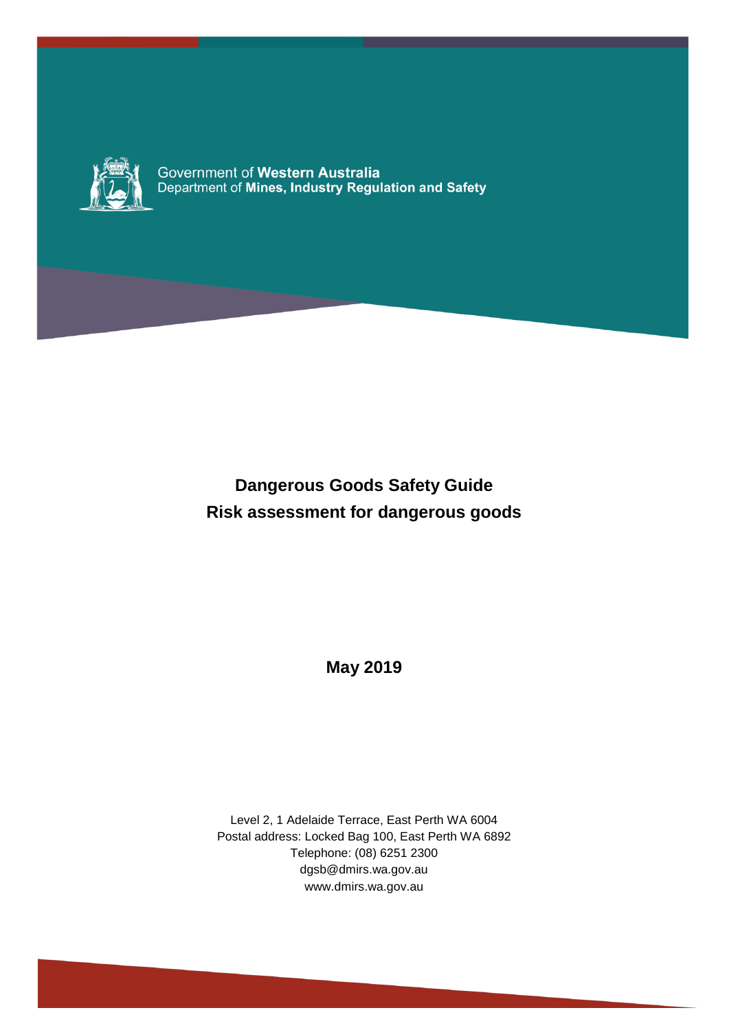

Government of Western Australia<br>Department of Mines, Industry Regulation and Safety

# **Dangerous Goods Safety Guide Risk assessment for dangerous goods**

**May 2019**

Level 2, 1 Adelaide Terrace, East Perth WA 6004 Postal address: Locked Bag 100, East Perth WA 6892 Telephone: (08) 6251 2300 dgsb@dmirs.wa.gov.au www.dmirs.wa.gov.au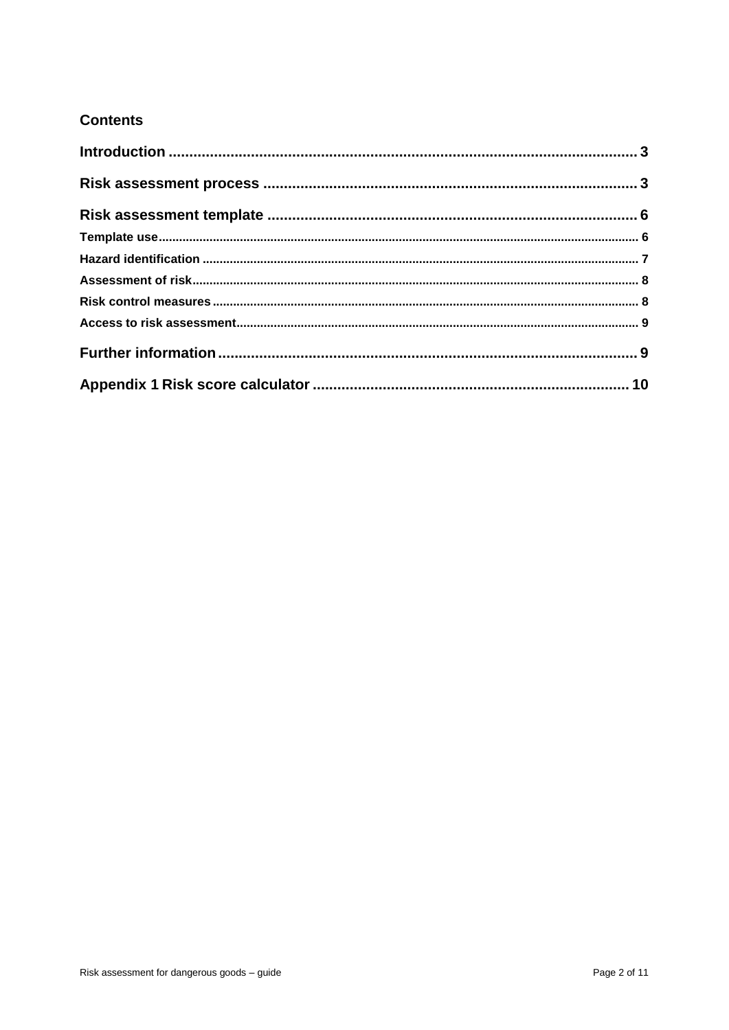### **Contents**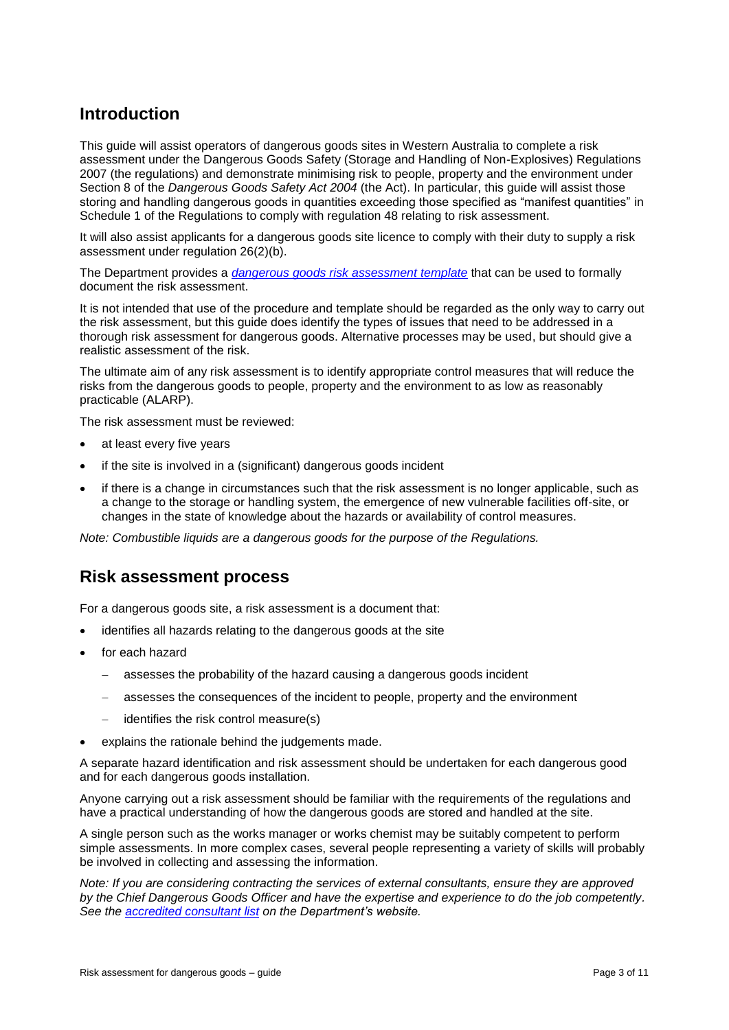## <span id="page-2-0"></span>**Introduction**

This guide will assist operators of dangerous goods sites in Western Australia to complete a risk assessment under the Dangerous Goods Safety (Storage and Handling of Non-Explosives) Regulations 2007 (the regulations) and demonstrate minimising risk to people, property and the environment under Section 8 of the *Dangerous Goods Safety Act 2004* (the Act). In particular, this guide will assist those storing and handling dangerous goods in quantities exceeding those specified as "manifest quantities" in Schedule 1 of the Regulations to comply with regulation 48 relating to risk assessment.

It will also assist applicants for a dangerous goods site licence to comply with their duty to supply a risk assessment under regulation 26(2)(b).

The Department provides a *[dangerous goods risk assessment template](http://dmp.wa.gov.au/Documents/Dangerous-Goods/DGS_T_Op_DangerousGoodsRiskAssessment.docx)* that can be used to formally document the risk assessment.

It is not intended that use of the procedure and template should be regarded as the only way to carry out the risk assessment, but this guide does identify the types of issues that need to be addressed in a thorough risk assessment for dangerous goods. Alternative processes may be used, but should give a realistic assessment of the risk.

The ultimate aim of any risk assessment is to identify appropriate control measures that will reduce the risks from the dangerous goods to people, property and the environment to as low as reasonably practicable (ALARP).

The risk assessment must be reviewed:

- at least every five years
- if the site is involved in a (significant) dangerous goods incident
- if there is a change in circumstances such that the risk assessment is no longer applicable, such as a change to the storage or handling system, the emergence of new vulnerable facilities off-site, or changes in the state of knowledge about the hazards or availability of control measures.

*Note: Combustible liquids are a dangerous goods for the purpose of the Regulations.*

### <span id="page-2-1"></span>**Risk assessment process**

For a dangerous goods site, a risk assessment is a document that:

- identifies all hazards relating to the dangerous goods at the site
- for each hazard
	- assesses the probability of the hazard causing a dangerous goods incident
	- assesses the consequences of the incident to people, property and the environment
	- identifies the risk control measure(s)
- explains the rationale behind the judgements made.

A separate hazard identification and risk assessment should be undertaken for each dangerous good and for each dangerous goods installation.

Anyone carrying out a risk assessment should be familiar with the requirements of the regulations and have a practical understanding of how the dangerous goods are stored and handled at the site.

A single person such as the works manager or works chemist may be suitably competent to perform simple assessments. In more complex cases, several people representing a variety of skills will probably be involved in collecting and assessing the information.

*Note: If you are considering contracting the services of external consultants, ensure they are approved by the Chief Dangerous Goods Officer and have the expertise and experience to do the job competently. See the [accredited consultant list](http://www.dmp.wa.gov.au/Documents/Dangerous-Goods/DGS_IS_AccreditedConsultantList.pdf) on the Department's website.*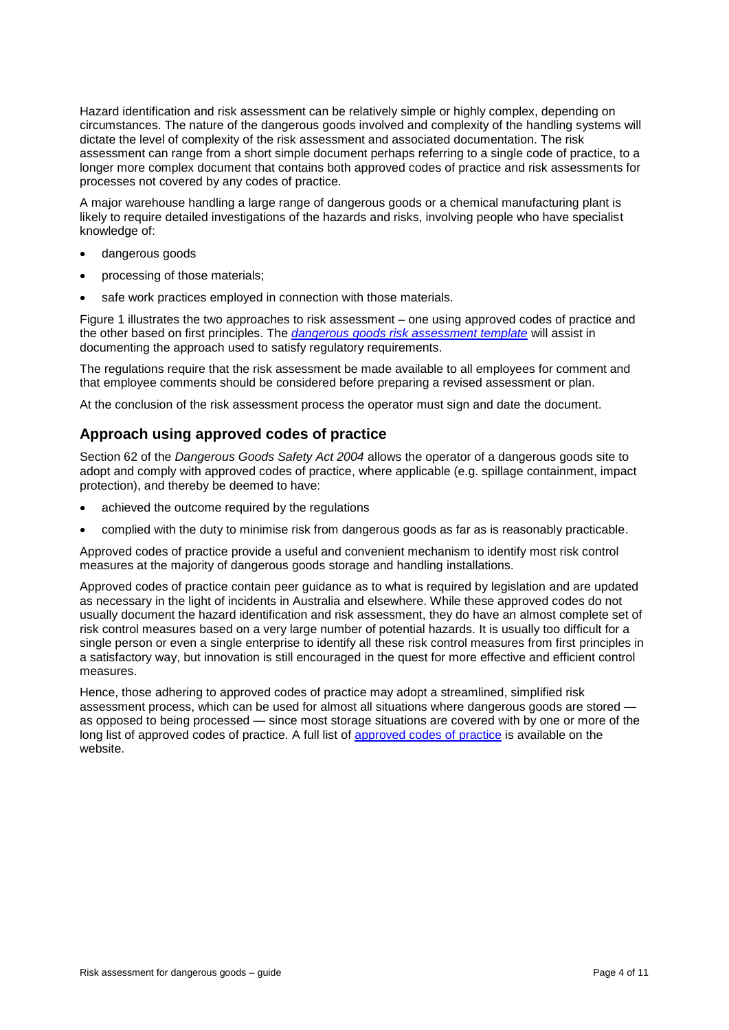Hazard identification and risk assessment can be relatively simple or highly complex, depending on circumstances. The nature of the dangerous goods involved and complexity of the handling systems will dictate the level of complexity of the risk assessment and associated documentation. The risk assessment can range from a short simple document perhaps referring to a single code of practice, to a longer more complex document that contains both approved codes of practice and risk assessments for processes not covered by any codes of practice.

A major warehouse handling a large range of dangerous goods or a chemical manufacturing plant is likely to require detailed investigations of the hazards and risks, involving people who have specialist knowledge of:

- dangerous goods
- processing of those materials;
- safe work practices employed in connection with those materials.

Figure 1 illustrates the two approaches to risk assessment – one using approved codes of practice and the other based on first principles. The *[dangerous goods risk assessment template](http://dmp.wa.gov.au/Documents/Dangerous-Goods/DGS_T_Op_DangerousGoodsRiskAssessment.docx)* will assist in documenting the approach used to satisfy regulatory requirements.

The regulations require that the risk assessment be made available to all employees for comment and that employee comments should be considered before preparing a revised assessment or plan.

At the conclusion of the risk assessment process the operator must sign and date the document.

#### **Approach using approved codes of practice**

Section 62 of the *Dangerous Goods Safety Act 2004* allows the operator of a dangerous goods site to adopt and comply with approved codes of practice, where applicable (e.g. spillage containment, impact protection), and thereby be deemed to have:

- achieved the outcome required by the regulations
- complied with the duty to minimise risk from dangerous goods as far as is reasonably practicable.

Approved codes of practice provide a useful and convenient mechanism to identify most risk control measures at the majority of dangerous goods storage and handling installations.

Approved codes of practice contain peer guidance as to what is required by legislation and are updated as necessary in the light of incidents in Australia and elsewhere. While these approved codes do not usually document the hazard identification and risk assessment, they do have an almost complete set of risk control measures based on a very large number of potential hazards. It is usually too difficult for a single person or even a single enterprise to identify all these risk control measures from first principles in a satisfactory way, but innovation is still encouraged in the quest for more effective and efficient control measures.

Hence, those adhering to approved codes of practice may adopt a streamlined, simplified risk assessment process, which can be used for almost all situations where dangerous goods are stored as opposed to being processed — since most storage situations are covered with by one or more of the long list of approved codes of practice. A full list of [approved codes of](http://www.dmp.wa.gov.au/Dangerous-Goods/Dangerous-goods-safety-codes-of-6508.aspx#toc_7038) practice is available on the website.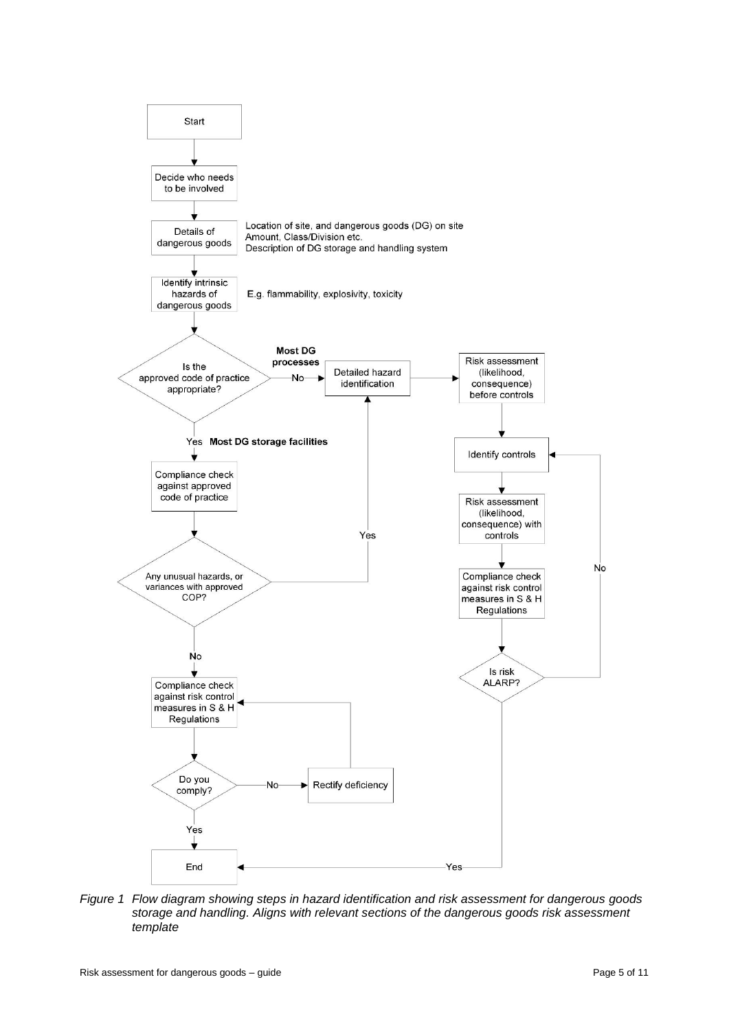

*Figure 1 Flow diagram showing steps in hazard identification and risk assessment for dangerous goods storage and handling. Aligns with relevant sections of the dangerous goods risk assessment template*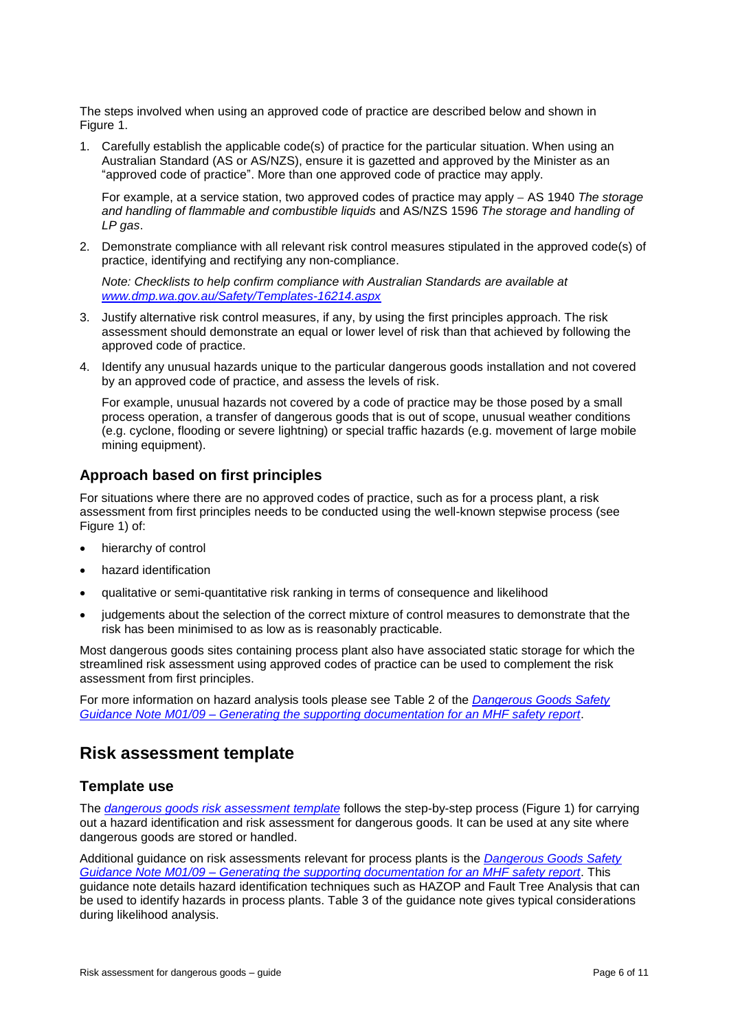The steps involved when using an approved code of practice are described below and shown in Figure 1.

1. Carefully establish the applicable code(s) of practice for the particular situation. When using an Australian Standard (AS or AS/NZS), ensure it is gazetted and approved by the Minister as an "approved code of practice". More than one approved code of practice may apply.

For example, at a service station, two approved codes of practice may apply AS 1940 *The storage and handling of flammable and combustible liquids* and AS/NZS 1596 *The storage and handling of LP gas*.

2. Demonstrate compliance with all relevant risk control measures stipulated in the approved code(s) of practice, identifying and rectifying any non-compliance.

*Note: Checklists to help confirm compliance with Australian Standards are available at [www.dmp.wa.gov.au/Safety/Templates-16214.aspx](http://www.dmp.wa.gov.au/Safety/Templates-16214.aspx)*

- 3. Justify alternative risk control measures, if any, by using the first principles approach. The risk assessment should demonstrate an equal or lower level of risk than that achieved by following the approved code of practice.
- 4. Identify any unusual hazards unique to the particular dangerous goods installation and not covered by an approved code of practice, and assess the levels of risk.

For example, unusual hazards not covered by a code of practice may be those posed by a small process operation, a transfer of dangerous goods that is out of scope, unusual weather conditions (e.g. cyclone, flooding or severe lightning) or special traffic hazards (e.g. movement of large mobile mining equipment).

### **Approach based on first principles**

For situations where there are no approved codes of practice, such as for a process plant, a risk assessment from first principles needs to be conducted using the well-known stepwise process (see Figure 1) of:

- hierarchy of control
- hazard identification
- qualitative or semi-quantitative risk ranking in terms of consequence and likelihood
- judgements about the selection of the correct mixture of control measures to demonstrate that the risk has been minimised to as low as is reasonably practicable.

Most dangerous goods sites containing process plant also have associated static storage for which the streamlined risk assessment using approved codes of practice can be used to complement the risk assessment from first principles.

For more information on hazard analysis tools please see Table 2 of the *[Dangerous Goods Safety](http://www.dmp.wa.gov.au/Documents/Dangerous-Goods/DGS_GN_GeneratingDocumentationForMHFSafetyReport.pdf)  Guidance Note M01/09 – [Generating the supporting documentation for an MHF safety report](http://www.dmp.wa.gov.au/Documents/Dangerous-Goods/DGS_GN_GeneratingDocumentationForMHFSafetyReport.pdf)*.

### <span id="page-5-0"></span>**Risk assessment template**

### <span id="page-5-1"></span>**Template use**

The *[dangerous goods risk assessment template](http://dmp.wa.gov.au/Documents/Dangerous-Goods/DGS_T_Op_DangerousGoodsRiskAssessment.docx)* follows the step-by-step process (Figure 1) for carrying out a hazard identification and risk assessment for dangerous goods. It can be used at any site where dangerous goods are stored or handled.

Additional guidance on risk assessments relevant for process plants is the *[Dangerous Goods Safety](http://www.dmp.wa.gov.au/Documents/Dangerous-Goods/DGS_GN_GeneratingDocumentationForMHFSafetyReport.pdf)  Guidance Note M01/09 – [Generating the supporting documentation for an MHF safety report](http://www.dmp.wa.gov.au/Documents/Dangerous-Goods/DGS_GN_GeneratingDocumentationForMHFSafetyReport.pdf)*. This guidance note details hazard identification techniques such as HAZOP and Fault Tree Analysis that can be used to identify hazards in process plants. Table 3 of the guidance note gives typical considerations during likelihood analysis.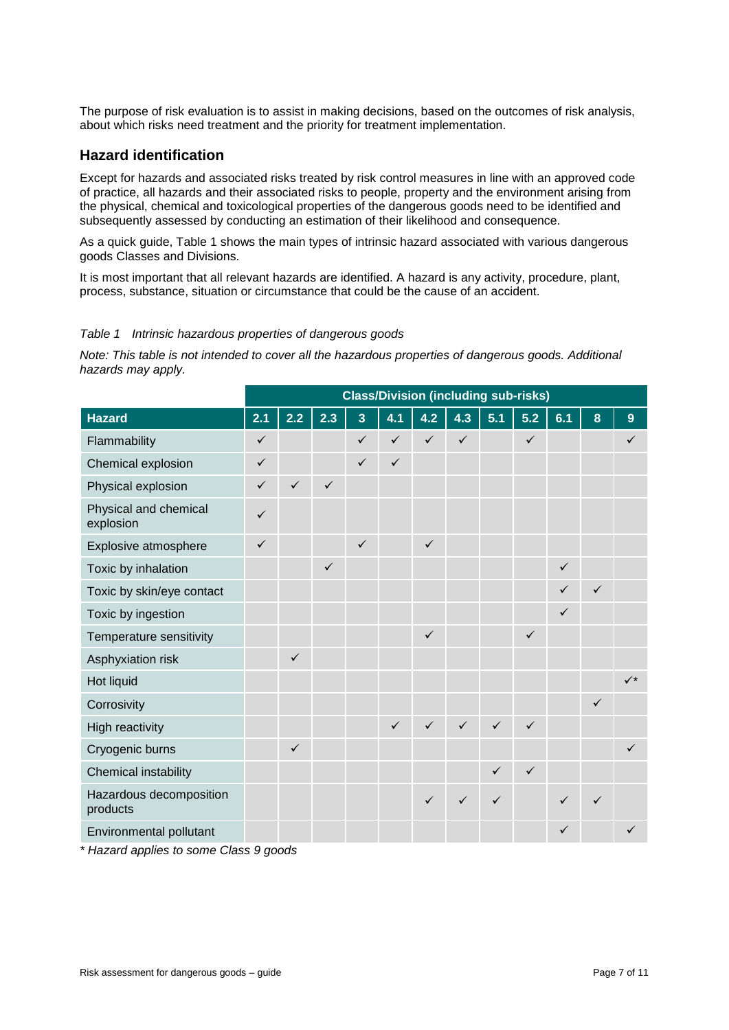The purpose of risk evaluation is to assist in making decisions, based on the outcomes of risk analysis, about which risks need treatment and the priority for treatment implementation.

#### <span id="page-6-0"></span>**Hazard identification**

Except for hazards and associated risks treated by risk control measures in line with an approved code of practice, all hazards and their associated risks to people, property and the environment arising from the physical, chemical and toxicological properties of the dangerous goods need to be identified and subsequently assessed by conducting an estimation of their likelihood and consequence.

As a quick guide, Table 1 shows the main types of intrinsic hazard associated with various dangerous goods Classes and Divisions.

It is most important that all relevant hazards are identified. A hazard is any activity, procedure, plant, process, substance, situation or circumstance that could be the cause of an accident.

#### *Table 1 Intrinsic hazardous properties of dangerous goods*

*Note: This table is not intended to cover all the hazardous properties of dangerous goods. Additional hazards may apply.*

|                                     | <b>Class/Division (including sub-risks)</b> |              |              |              |              |              |              |              |              |              |              |              |
|-------------------------------------|---------------------------------------------|--------------|--------------|--------------|--------------|--------------|--------------|--------------|--------------|--------------|--------------|--------------|
| <b>Hazard</b>                       | 2.1                                         | 2.2          | 2.3          | 3            | 4.1          | 4.2          | 4.3          | 5.1          | $5.2$        | 6.1          | 8            | 9            |
| Flammability                        | $\checkmark$                                |              |              | ✓            | $\checkmark$ | $\checkmark$ | $\checkmark$ |              | $\checkmark$ |              |              | $\checkmark$ |
| Chemical explosion                  | $\checkmark$                                |              |              | ✓            | $\checkmark$ |              |              |              |              |              |              |              |
| Physical explosion                  | $\checkmark$                                | $\checkmark$ | $\checkmark$ |              |              |              |              |              |              |              |              |              |
| Physical and chemical<br>explosion  | $\checkmark$                                |              |              |              |              |              |              |              |              |              |              |              |
| Explosive atmosphere                | $\checkmark$                                |              |              | $\checkmark$ |              | $\checkmark$ |              |              |              |              |              |              |
| Toxic by inhalation                 |                                             |              | $\checkmark$ |              |              |              |              |              |              | $\checkmark$ |              |              |
| Toxic by skin/eye contact           |                                             |              |              |              |              |              |              |              |              |              | $\checkmark$ |              |
| Toxic by ingestion                  |                                             |              |              |              |              |              |              |              |              | $\checkmark$ |              |              |
| Temperature sensitivity             |                                             |              |              |              |              | $\checkmark$ |              |              | $\checkmark$ |              |              |              |
| Asphyxiation risk                   |                                             | $\checkmark$ |              |              |              |              |              |              |              |              |              |              |
| Hot liquid                          |                                             |              |              |              |              |              |              |              |              |              |              | $\checkmark$ |
| Corrosivity                         |                                             |              |              |              |              |              |              |              |              |              | $\checkmark$ |              |
| <b>High reactivity</b>              |                                             |              |              |              | $\checkmark$ | $\checkmark$ | $\checkmark$ | $\checkmark$ | $\checkmark$ |              |              |              |
| Cryogenic burns                     |                                             | $\checkmark$ |              |              |              |              |              |              |              |              |              | $\checkmark$ |
| Chemical instability                |                                             |              |              |              |              |              |              | $\checkmark$ | $\checkmark$ |              |              |              |
| Hazardous decomposition<br>products |                                             |              |              |              |              | $\checkmark$ | $\checkmark$ | ✓            |              | $\checkmark$ | $\checkmark$ |              |
| Environmental pollutant             |                                             |              |              |              |              |              |              |              |              | ✓            |              | ✓            |

*\* Hazard applies to some Class 9 goods*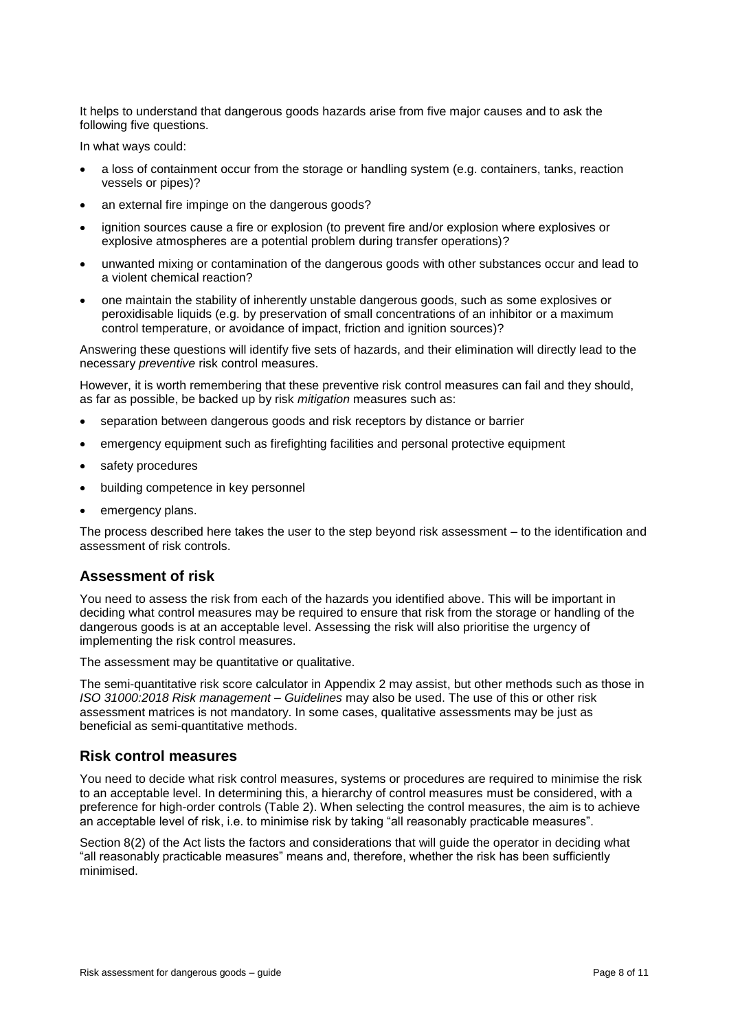It helps to understand that dangerous goods hazards arise from five major causes and to ask the following five questions.

In what ways could:

- a loss of containment occur from the storage or handling system (e.g. containers, tanks, reaction vessels or pipes)?
- an external fire impinge on the dangerous goods?
- ignition sources cause a fire or explosion (to prevent fire and/or explosion where explosives or explosive atmospheres are a potential problem during transfer operations)?
- unwanted mixing or contamination of the dangerous goods with other substances occur and lead to a violent chemical reaction?
- one maintain the stability of inherently unstable dangerous goods, such as some explosives or peroxidisable liquids (e.g. by preservation of small concentrations of an inhibitor or a maximum control temperature, or avoidance of impact, friction and ignition sources)?

Answering these questions will identify five sets of hazards, and their elimination will directly lead to the necessary *preventive* risk control measures.

However, it is worth remembering that these preventive risk control measures can fail and they should, as far as possible, be backed up by risk *mitigation* measures such as:

- separation between dangerous goods and risk receptors by distance or barrier
- emergency equipment such as firefighting facilities and personal protective equipment
- safety procedures
- building competence in key personnel
- emergency plans.

The process described here takes the user to the step beyond risk assessment – to the identification and assessment of risk controls.

#### <span id="page-7-0"></span>**Assessment of risk**

You need to assess the risk from each of the hazards you identified above. This will be important in deciding what control measures may be required to ensure that risk from the storage or handling of the dangerous goods is at an acceptable level. Assessing the risk will also prioritise the urgency of implementing the risk control measures.

The assessment may be quantitative or qualitative.

The semi-quantitative risk score calculator in Appendix 2 may assist, but other methods such as those in *ISO 31000:2018 Risk management – Guidelines* may also be used. The use of this or other risk assessment matrices is not mandatory. In some cases, qualitative assessments may be just as beneficial as semi-quantitative methods.

#### <span id="page-7-1"></span>**Risk control measures**

You need to decide what risk control measures, systems or procedures are required to minimise the risk to an acceptable level. In determining this, a hierarchy of control measures must be considered, with a preference for high-order controls (Table 2). When selecting the control measures, the aim is to achieve an acceptable level of risk, i.e. to minimise risk by taking "all reasonably practicable measures".

Section 8(2) of the Act lists the factors and considerations that will guide the operator in deciding what "all reasonably practicable measures" means and, therefore, whether the risk has been sufficiently minimised.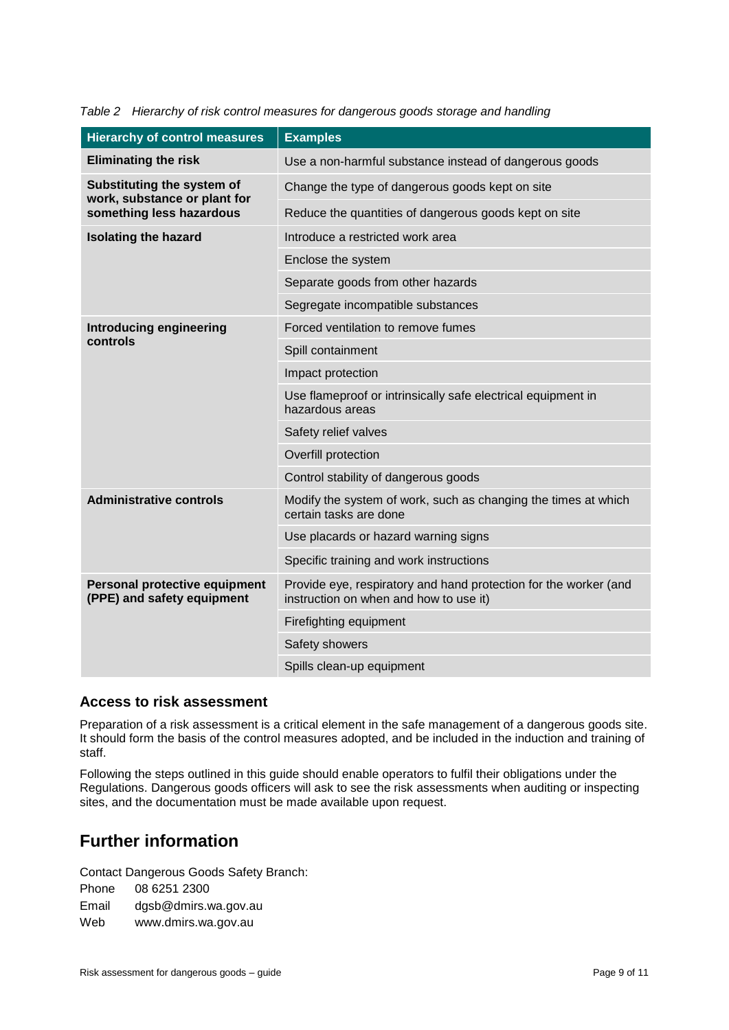| <b>Hierarchy of control measures</b>                        | <b>Examples</b>                                                                                            |  |  |  |
|-------------------------------------------------------------|------------------------------------------------------------------------------------------------------------|--|--|--|
| <b>Eliminating the risk</b>                                 | Use a non-harmful substance instead of dangerous goods                                                     |  |  |  |
| Substituting the system of<br>work, substance or plant for  | Change the type of dangerous goods kept on site                                                            |  |  |  |
| something less hazardous                                    | Reduce the quantities of dangerous goods kept on site                                                      |  |  |  |
| <b>Isolating the hazard</b>                                 | Introduce a restricted work area                                                                           |  |  |  |
|                                                             | Enclose the system                                                                                         |  |  |  |
|                                                             | Separate goods from other hazards                                                                          |  |  |  |
|                                                             | Segregate incompatible substances                                                                          |  |  |  |
| <b>Introducing engineering</b>                              | Forced ventilation to remove fumes                                                                         |  |  |  |
| controls                                                    | Spill containment                                                                                          |  |  |  |
|                                                             | Impact protection                                                                                          |  |  |  |
|                                                             | Use flameproof or intrinsically safe electrical equipment in<br>hazardous areas                            |  |  |  |
|                                                             | Safety relief valves                                                                                       |  |  |  |
|                                                             | Overfill protection                                                                                        |  |  |  |
|                                                             | Control stability of dangerous goods                                                                       |  |  |  |
| <b>Administrative controls</b>                              | Modify the system of work, such as changing the times at which<br>certain tasks are done                   |  |  |  |
|                                                             | Use placards or hazard warning signs                                                                       |  |  |  |
|                                                             | Specific training and work instructions                                                                    |  |  |  |
| Personal protective equipment<br>(PPE) and safety equipment | Provide eye, respiratory and hand protection for the worker (and<br>instruction on when and how to use it) |  |  |  |
|                                                             | Firefighting equipment                                                                                     |  |  |  |
|                                                             | Safety showers                                                                                             |  |  |  |
|                                                             | Spills clean-up equipment                                                                                  |  |  |  |

|  | Table 2 Hierarchy of risk control measures for dangerous goods storage and handling |  |  |
|--|-------------------------------------------------------------------------------------|--|--|
|  |                                                                                     |  |  |

#### <span id="page-8-0"></span>**Access to risk assessment**

Preparation of a risk assessment is a critical element in the safe management of a dangerous goods site. It should form the basis of the control measures adopted, and be included in the induction and training of staff.

Following the steps outlined in this guide should enable operators to fulfil their obligations under the Regulations. Dangerous goods officers will ask to see the risk assessments when auditing or inspecting sites, and the documentation must be made available upon request.

# <span id="page-8-1"></span>**Further information**

Contact Dangerous Goods Safety Branch:

Phone 08 6251 2300 Email dgsb@dmirs.wa.gov.au Web www.dmirs.wa.gov.au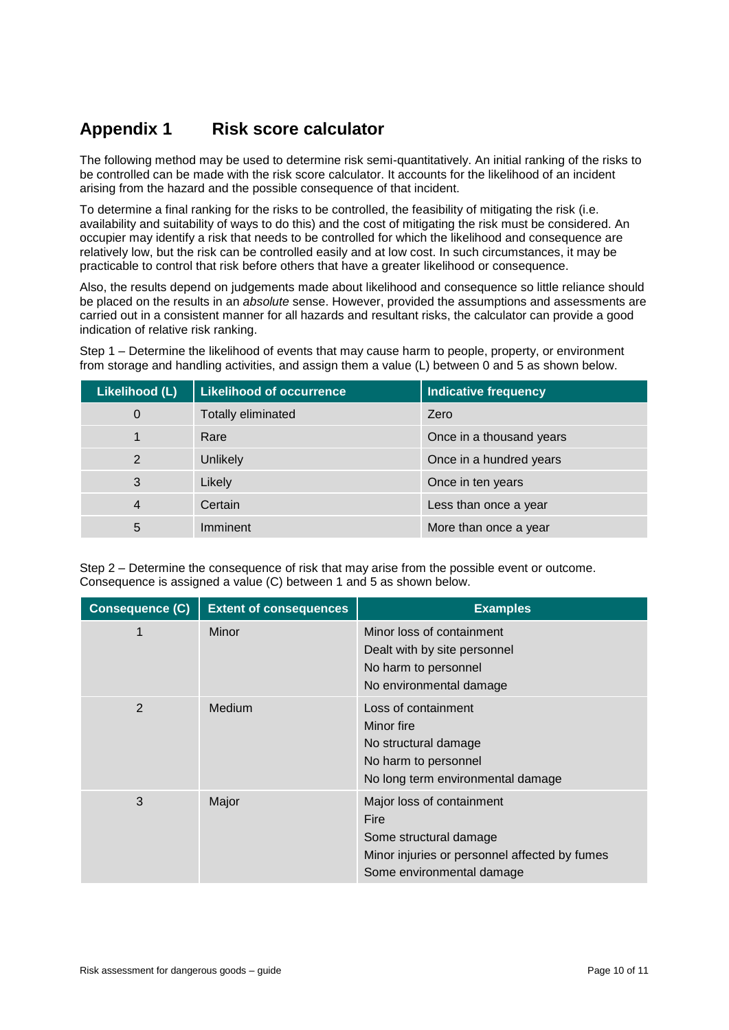# <span id="page-9-0"></span>**Appendix 1 Risk score calculator**

The following method may be used to determine risk semi-quantitatively. An initial ranking of the risks to be controlled can be made with the risk score calculator. It accounts for the likelihood of an incident arising from the hazard and the possible consequence of that incident.

To determine a final ranking for the risks to be controlled, the feasibility of mitigating the risk (i.e. availability and suitability of ways to do this) and the cost of mitigating the risk must be considered. An occupier may identify a risk that needs to be controlled for which the likelihood and consequence are relatively low, but the risk can be controlled easily and at low cost. In such circumstances, it may be practicable to control that risk before others that have a greater likelihood or consequence.

Also, the results depend on judgements made about likelihood and consequence so little reliance should be placed on the results in an *absolute* sense. However, provided the assumptions and assessments are carried out in a consistent manner for all hazards and resultant risks, the calculator can provide a good indication of relative risk ranking.

Step 1 – Determine the likelihood of events that may cause harm to people, property, or environment from storage and handling activities, and assign them a value (L) between 0 and 5 as shown below.

| Likelihood (L) | <b>Likelihood of occurrence</b> | Indicative frequency     |
|----------------|---------------------------------|--------------------------|
| $\mathbf 0$    | <b>Totally eliminated</b>       | Zero                     |
|                | Rare                            | Once in a thousand years |
| $\overline{2}$ | Unlikely                        | Once in a hundred years  |
| 3              | Likely                          | Once in ten years        |
| $\overline{4}$ | Certain                         | Less than once a year    |
| 5              | Imminent                        | More than once a year    |

Step 2 – Determine the consequence of risk that may arise from the possible event or outcome. Consequence is assigned a value (C) between 1 and 5 as shown below.

| <b>Consequence (C)</b> | <b>Extent of consequences</b> | <b>Examples</b>                                                                                                                           |
|------------------------|-------------------------------|-------------------------------------------------------------------------------------------------------------------------------------------|
| 1                      | Minor                         | Minor loss of containment<br>Dealt with by site personnel<br>No harm to personnel<br>No environmental damage                              |
| 2                      | Medium                        | Loss of containment<br>Minor fire<br>No structural damage<br>No harm to personnel<br>No long term environmental damage                    |
| 3                      | Major                         | Major loss of containment<br>Fire<br>Some structural damage<br>Minor injuries or personnel affected by fumes<br>Some environmental damage |